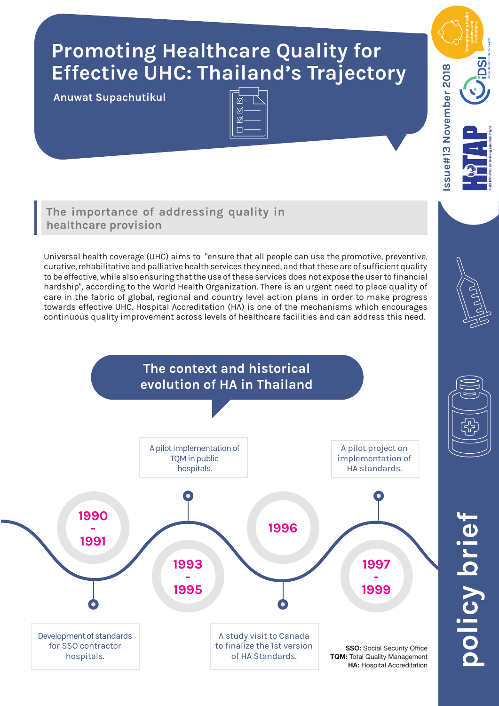# **Promoting Healthcare Quality for Effective UHC: Thailand's Trajectory**

**Anuwat Supachutikul**



# **The importance of addressing quality in healthcare provision**

Universal health coverage (UHC) aims to "ensure that all people can use the promotive, preventive, curative, rehabilitative and palliative health services they need, and that these are of sufficient quality to be effective, while also ensuring that the use of these services does not expose the user to financial hardship", according to the World Health Organization. There is an urgent need to place quality of care in the fabric of global, regional and country level action plans in order to make progress towards effective UHC. Hospital Accreditation (HA) is one of the mechanisms which encourages continuous quality improvement across levels of healthcare facilities and can address this need.



ssue#13 November 2018 **Issue#13 November 2018**



## **TQM:** Total Quality Management **HA: Hospital Accreditation**

**policy brief** olicy briet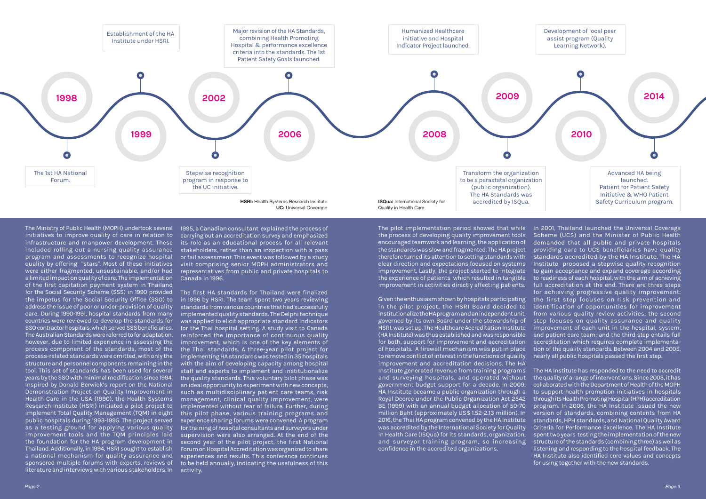The Ministry of Public Health (MOPH) undertook several initiatives to improve quality of care in relation to infrastructure and manpower development. These included rolling out a nursing quality assurance program and assessments to recognize hospital quality by offering "stars". Most of these initiatives were either fragmented, unsustainable, and/or had a limited impact on quality of care. The implementation of the first capitation payment system in Thailand for the Social Security Scheme (SSS) in 1990 provided the impetus for the Social Security Office (SSO) to address the issue of poor or under-provision of quality care. During 1990-1991, hospital standards from many countries were reviewed to develop the standards for SSO contractor hospitals, which served SSS beneficiaries. The Australian Standards were referred to for adaptation, however, due to limited experience in assessing the process component of the standards, most of the process-related standards were omitted, with only the structure and personnel components remaining in the tool. This set of standards has been used for several years by the SSO with minimal modification since 1994. Inspired by Donald Berwick's report on the National Demonstration Project on Quality Improvement in Health Care in the USA (1990), the Health Systems Research Institute (HSRI) initiated a pilot project to implement Total Quality Management (TQM) in eight public hospitals during 1993-1995. The project served as a testing ground for applying various quality improvement tools and the TQM principles laid the foundation for the HA program development in Thailand. Additionally, in 1994, HSRI sought to establish a national mechanism for quality assurance and sponsored multiple forums with experts, reviews of literature and interviews with various stakeholders. In

1995, a Canadian consultant explained the process of carrying out an accreditation survey and emphasized its role as an educational process for all relevant stakeholders, rather than an inspection with a pass or fail assessment. This event was followed by a study visit comprising senior MOPH administrators and representatives from public and private hospitals to Canada in 1996.

The first HA standards for Thailand were finalized in 1996 by HSRI. The team spent two years reviewing standards from various countries that had successfully implemented quality standards. The Delphi technique was applied to elicit appropriate standard indicators for the Thai hospital setting. A study visit to Canada reinforced the importance of continuous quality improvement, which is one of the key elements of the Thai standards. A three-year pilot project for implementing HA standards was tested in 35 hospitals with the aim of developing capacity among hospital staff and experts to implement and institutionalize the quality standards. This voluntary pilot phase was an ideal opportunity to experiment with new concepts, such as multidisciplinary patient care teams, risk management, clinical quality improvement, were implemented without fear of failure. Further, during this pilot phase, various training programs and experience sharing forums were convened. A program for training of hospital consultants and surveyors under supervision were also arranged. At the end of the second year of the pilot project, the first National Forum on Hospital Accreditation was organized to share experiences and results. This conference continues to be held annually, indicating the usefulness of this activity.

The pilot implementation period showed that while In 2001, Thailand launched the Universal Coverage the process of developing quality improvement tools encouraged teamwork and learning, the application of the standards was slow and fragmented. The HA project therefore turned its attention to setting standards with clear direction and expectations focused on systems improvement. Lastly, the project started to integrate the experience of patients which resulted in tangible improvement in activities directly affecting patients.

Given the enthusiasm shown by hospitals participating in the pilot project, the HSRI Board decided to institutionalize the HA program and an independent unit, governed by its own Board under the stewardship of HSRI, was set up. The Healthcare Accreditation Institute (HA Institute) was thus established and was responsible for both, support for improvement and accreditation of hospitals. A firewall mechanism was put in place to remove conflict of interest in the functions of quality improvement and accreditation decisions. The HA Institute generated revenue from training programs and surveying hospitals, and operated without government budget support for a decade. In 2009, HA Institute became a public organization through a Royal Decree under the Public Organization Act 2542 BE (1999) with an annual budget allocation of 50-70 million Baht (approximately US\$ 1.52-2.13 million). In 2016, the Thai HA program convened by the HA Institute was accredited by the International Society for Quality in Health Care (ISQua) for its standards, organization, and surveyor training program, so increasing confidence in the accredited organizations.



Scheme (UCS) and the Minister of Public Health demanded that all public and private hospitals providing care to UCS beneficiaries have quality standards accredited by the HA Institute. The HA Institute proposed a stepwise quality recognition to gain acceptance and expand coverage according to readiness of each hospital, with the aim of achieving full accreditation at the end. There are three steps for achieving progressive quality improvement: the first step focuses on risk prevention and identification of opportunities for improvement from various quality review activities; the second step focuses on quality assurance and quality improvement of each unit in the hospital, system, and patient care team; and the third step entails full accreditation which requires complete implementation of the quality standards. Between 2004 and 2005, nearly all public hospitals passed the first step.

The HA Institute has responded to the need to accredit the quality of a range of interventions. Since 2003, it has collaborated with the Department of Health of the MOPH to support health promotion initiatives in hospitals through its Health Promoting Hospital (HPH) accreditation program. In 2006, the HA Institute issued the new version of standards, combining contents from HA standards, HPH standards, and National Quality Award Criteria for Performance Excellence. The HA Institute spent two years testing the implementation of the new structure of the standards (combining three) as well as listening and responding to the hospital feedback. The HA Institute also identified core values and concepts for using together with the new standards.